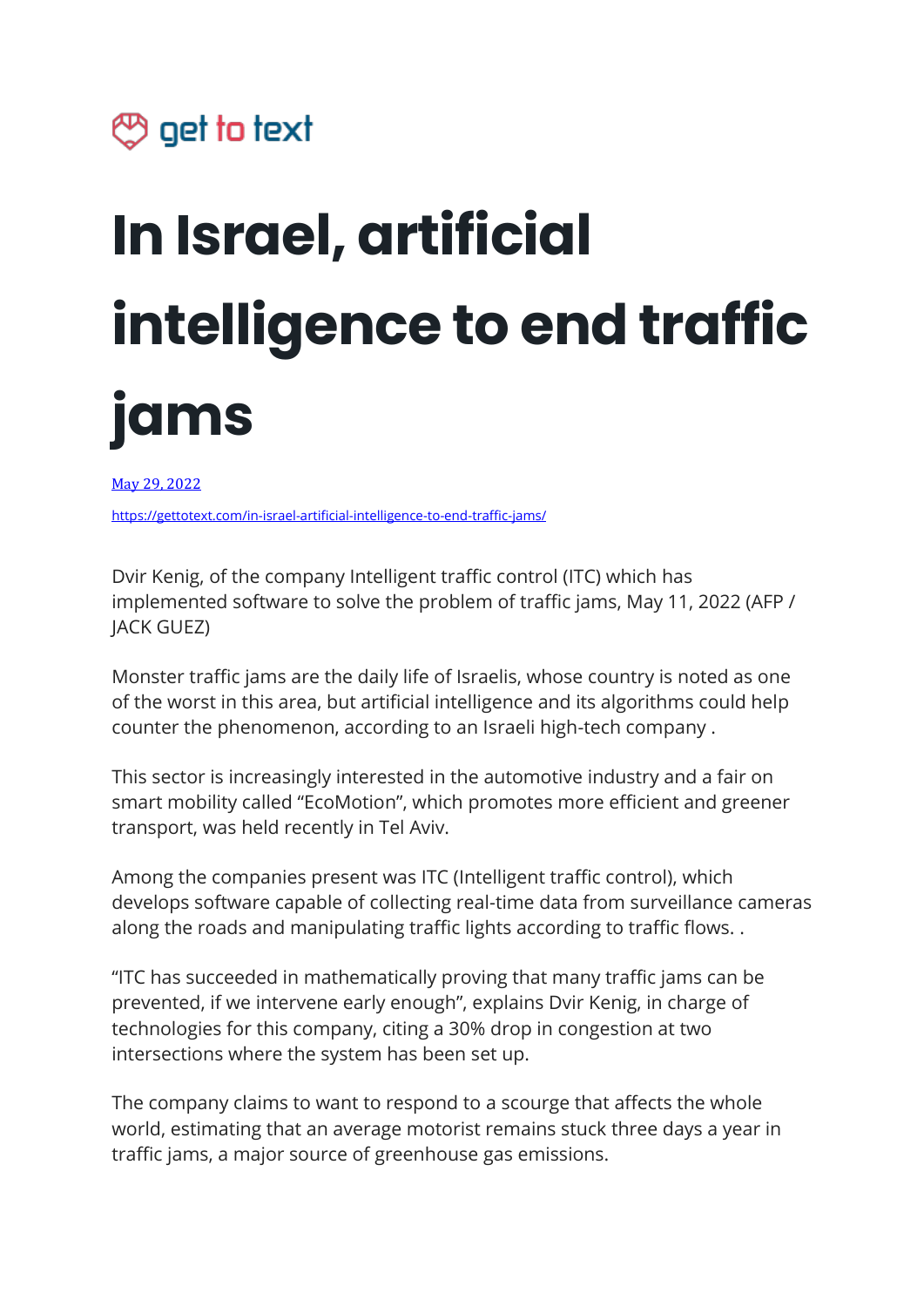## $\circledcirc$  get to text

## **In Israel, artificial intelligence to end traffic jams**

May 29, [2022](https://www.paudal.com/2022/05/29/artificial-intelligence-to-end-traffic-jams-in-israel/)

<https://gettotext.com/in-israel-artificial-intelligence-to-end-traffic-jams/>

Dvir Kenig, of the company Intelligent traffic control (ITC) which has implemented software to solve the problem of traffic jams, May 11, 2022 (AFP / JACK GUEZ)

Monster traffic jams are the daily life of Israelis, whose country is noted as one of the worst in this area, but artificial intelligence and its algorithms could help counter the phenomenon, according to an Israeli high-tech company .

This sector is increasingly interested in the automotive industry and a fair on smart mobility called "EcoMotion", which promotes more efficient and greener transport, was held recently in Tel Aviv.

Among the companies present was ITC (Intelligent traffic control), which develops software capable of collecting real-time data from surveillance cameras along the roads and manipulating traffic lights according to traffic flows. .

"ITC has succeeded in mathematically proving that many traffic jams can be prevented, if we intervene early enough", explains Dvir Kenig, in charge of technologies for this company, citing a 30% drop in congestion at two intersections where the system has been set up.

The company claims to want to respond to a scourge that affects the whole world, estimating that an average motorist remains stuck three days a year in traffic jams, a major source of greenhouse gas emissions.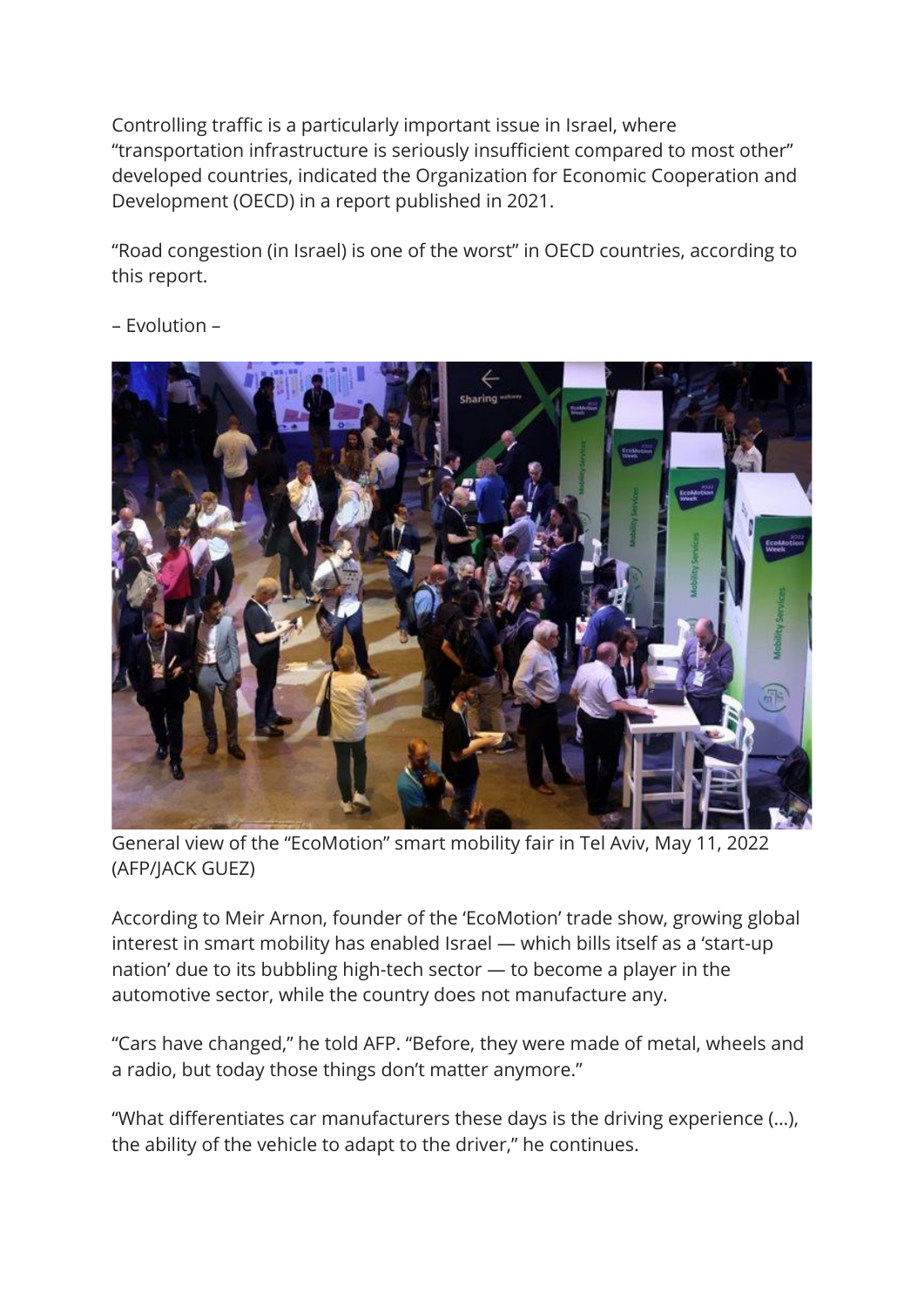Controlling traffic is a particularly important issue in Israel, where "transportation infrastructure is seriously insufficient compared to most other" developed countries, indicated the Organization for Economic Cooperation and Development (OECD) in a report published in 2021.

"Road congestion (in Israel) is one of the worst" in OECD countries, according to this report.



– Evolution –

General view of the "EcoMotion" smart mobility fair in Tel Aviv, May 11, 2022 (AFP/JACK GUEZ)

According to Meir Arnon, founder of the 'EcoMotion' trade show, growing global interest in smart mobility has enabled Israel — which bills itself as a 'start-up nation' due to its bubbling high-tech sector — to become a player in the automotive sector, while the country does not manufacture any.

"Cars have changed," he told AFP. "Before, they were made of metal, wheels and a radio, but today those things don't matter anymore."

"What differentiates car manufacturers these days is the driving experience (…), the ability of the vehicle to adapt to the driver," he continues.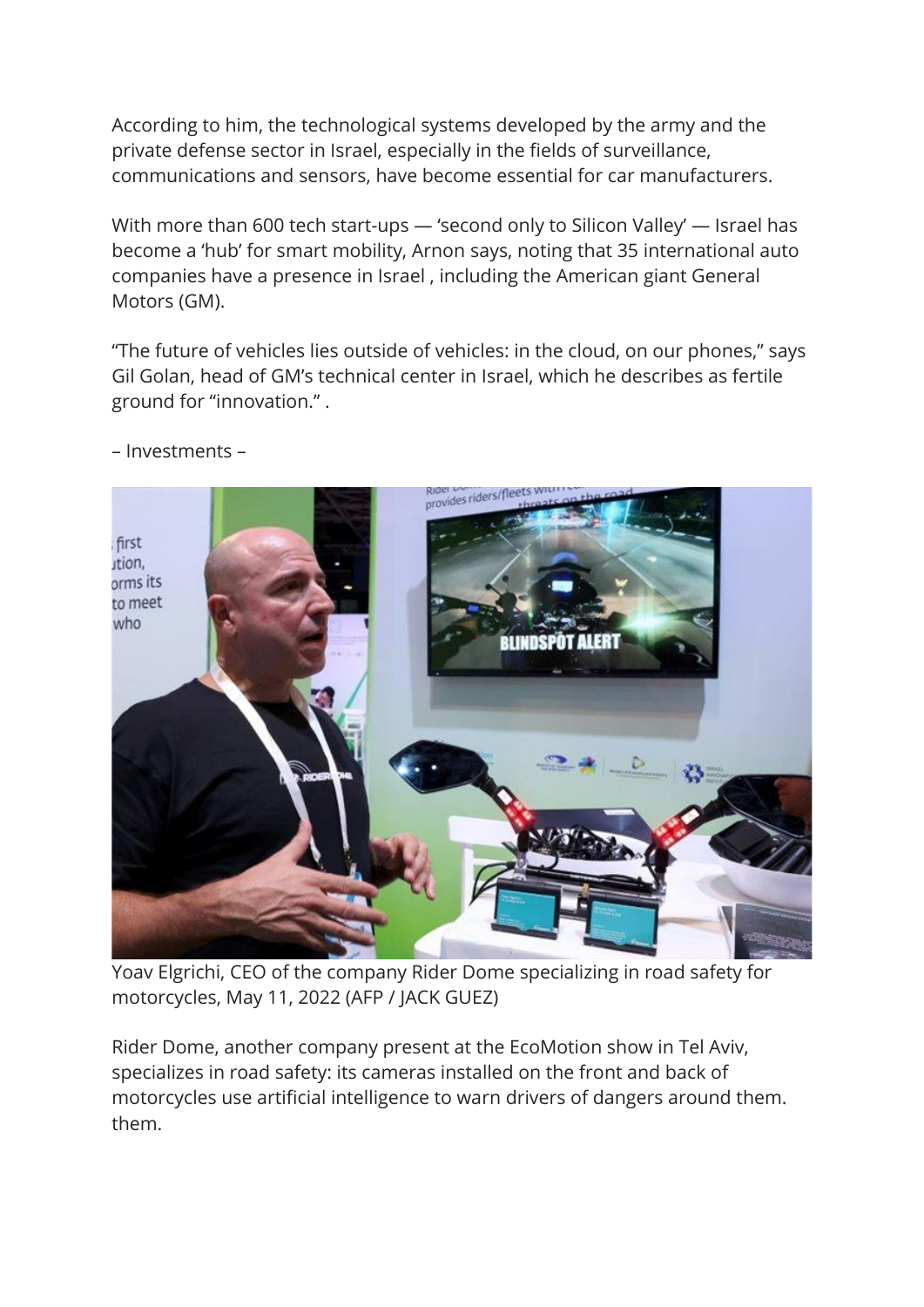According to him, the technological systems developed by the army and the private defense sector in Israel, especially in the fields of surveillance, communications and sensors, have become essential for car manufacturers.

With more than 600 tech start-ups — 'second only to Silicon Valley' — Israel has become a 'hub' for smart mobility, Arnon says, noting that 35 international auto companies have a presence in Israel , including the American giant General Motors (GM).

"The future of vehicles lies outside of vehicles: in the cloud, on our phones," says Gil Golan, head of GM's technical center in Israel, which he describes as fertile ground for "innovation." .



– Investments –

Yoav Elgrichi, CEO of the company Rider Dome specializing in road safety for motorcycles, May 11, 2022 (AFP / JACK GUEZ)

Rider Dome, another company present at the EcoMotion show in Tel Aviv, specializes in road safety: its cameras installed on the front and back of motorcycles use artificial intelligence to warn drivers of dangers around them. them.